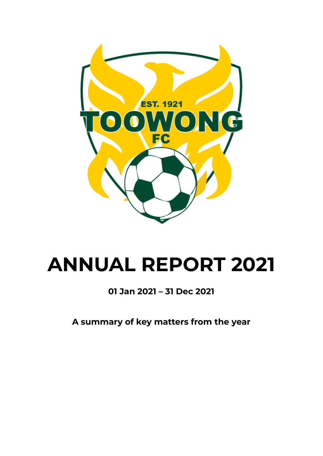

# **ANNUAL REPORT 2021**

#### **01 Jan 2021 – 31 Dec 2021**

**A summary of key matters from the year**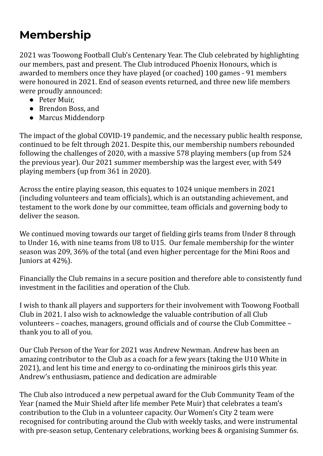## **Membership**

2021 was Toowong Football Club's Centenary Year. The Club celebrated by highlighting our members, past and present. The Club introduced Phoenix Honours, which is awarded to members once they have played (or coached) 100 games - 91 members were honoured in 2021. End of season events returned, and three new life members were proudly announced:

- Peter Muir,
- Brendon Boss, and
- Marcus Middendorp

The impact of the global COVID-19 pandemic, and the necessary public health response, continued to be felt through 2021. Despite this, our membership numbers rebounded following the challenges of 2020, with a massive 578 playing members (up from 524 the previous year). Our 2021 summer membership was the largest ever, with 549 playing members (up from 361 in 2020).

Across the entire playing season, this equates to 1024 unique members in 2021 (including volunteers and team officials), which is an outstanding achievement, and testament to the work done by our committee, team officials and governing body to deliver the season.

We continued moving towards our target of fielding girls teams from Under 8 through to Under 16, with nine teams from U8 to U15. Our female membership for the winter season was 209, 36% of the total (and even higher percentage for the Mini Roos and Juniors at 42%).

Financially the Club remains in a secure position and therefore able to consistently fund investment in the facilities and operation of the Club.

I wish to thank all players and supporters for their involvement with Toowong Football Club in 2021. I also wish to acknowledge the valuable contribution of all Club volunteers – coaches, managers, ground officials and of course the Club Committee – thank you to all of you.

Our Club Person of the Year for 2021 was Andrew Newman. Andrew has been an amazing contributor to the Club as a coach for a few years (taking the U10 White in 2021), and lent his time and energy to co-ordinating the miniroos girls this year. Andrew's enthusiasm, patience and dedication are admirable

The Club also introduced a new perpetual award for the Club Community Team of the Year (named the Muir Shield after life member Pete Muir) that celebrates a team's contribution to the Club in a volunteer capacity. Our Women's City 2 team were recognised for contributing around the Club with weekly tasks, and were instrumental with pre-season setup, Centenary celebrations, working bees & organising Summer 6s.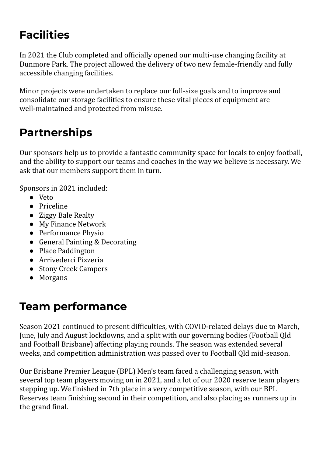# **Facilities**

In 2021 the Club completed and officially opened our multi-use changing facility at Dunmore Park. The project allowed the delivery of two new female-friendly and fully accessible changing facilities.

Minor projects were undertaken to replace our full-size goals and to improve and consolidate our storage facilities to ensure these vital pieces of equipment are well-maintained and protected from misuse.

## **Partnerships**

Our sponsors help us to provide a fantastic community space for locals to enjoy football, and the ability to support our teams and coaches in the way we believe is necessary. We ask that our members support them in turn.

Sponsors in 2021 included:

- Veto
- Priceline
- Ziggy Bale Realty
- My Finance Network
- Performance Physio
- General Painting & Decorating
- Place Paddington
- Arrivederci Pizzeria
- Stony Creek Campers
- Morgans

### **Team performance**

Season 2021 continued to present difficulties, with COVID-related delays due to March, June, July and August lockdowns, and a split with our governing bodies (Football Qld and Football Brisbane) affecting playing rounds. The season was extended several weeks, and competition administration was passed over to Football Qld mid-season.

Our Brisbane Premier League (BPL) Men's team faced a challenging season, with several top team players moving on in 2021, and a lot of our 2020 reserve team players stepping up. We finished in 7th place in a very competitive season, with our BPL Reserves team finishing second in their competition, and also placing as runners up in the grand final.